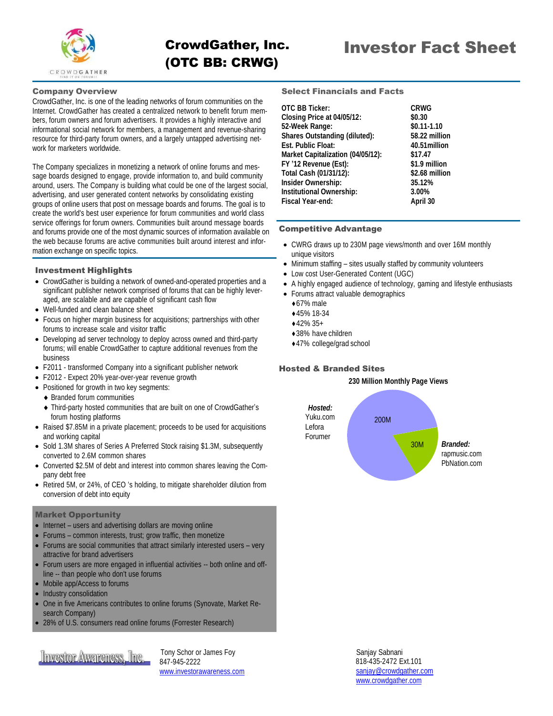

## Company Overview

CrowdGather, Inc. is one of the leading networks of forum communities on the Internet. CrowdGather has created a centralized network to benefit forum members, forum owners and forum advertisers. It provides a highly interactive and informational social network for members, a management and revenue-sharing resource for third-party forum owners, and a largely untapped advertising network for marketers worldwide.

The Company specializes in monetizing a network of online forums and message boards designed to engage, provide information to, and build community around, users. The Company is building what could be one of the largest social, advertising, and user generated content networks by consolidating existing groups of online users that post on message boards and forums. The goal is to create the world's best user experience for forum communities and world class service offerings for forum owners. Communities built around message boards and forums provide one of the most dynamic sources of information available on the web because forums are active communities built around interest and information exchange on specific topics.

### Investment Highlights

- CrowdGather is building a network of owned-and-operated properties and a significant publisher network comprised of forums that can be highly leveraged, are scalable and are capable of significant cash flow
- Well-funded and clean balance sheet
- Focus on higher margin business for acquisitions; partnerships with other forums to increase scale and visitor traffic
- Developing ad server technology to deploy across owned and third-party forums; will enable CrowdGather to capture additional revenues from the business
- F2011 transformed Company into a significant publisher network
- F2012 Expect 20% year-over-year revenue growth
- Positioned for growth in two key segments:
- Branded forum communities
- Third-party hosted communities that are built on one of CrowdGather's forum hosting platforms
- Raised \$7.85M in a private placement; proceeds to be used for acquisitions and working capital
- Sold 1.3M shares of Series A Preferred Stock raising \$1.3M, subsequently converted to 2.6M common shares
- Converted \$2.5M of debt and interest into common shares leaving the Company debt free
- Retired 5M, or 24%, of CEO 's holding, to mitigate shareholder dilution from conversion of debt into equity

### Market Opportunity

- Internet users and advertising dollars are moving online
- Forums common interests, trust; grow traffic, then monetize
- Forums are social communities that attract similarly interested users very attractive for brand advertisers
- Forum users are more engaged in influential activities -- both online and offline -- than people who don't use forums
- Mobile app/Access to forums
- Industry consolidation
- One in five Americans contributes to online forums (Synovate, Market Research Company)
- 28% of U.S. consumers read online forums (Forrester Research)

**Investor Awareness, Inc.** For Schor or James Foy

 847-945-2222 [www.investorawareness.com](http://www.investorawareness.com/) Select Financials and Facts

| OTC BB Ticker:                       | <b>CRWG</b>    |
|--------------------------------------|----------------|
| Closing Price at 04/05/12:           | \$0.30         |
| 52-Week Range:                       | $$0.11 - 1.10$ |
| <b>Shares Outstanding (diluted):</b> | 58.22 million  |
| <b>Est. Public Float:</b>            | 40.51 million  |
| Market Capitalization (04/05/12):    | \$17.47        |
| FY '12 Revenue (Est):                | \$1.9 million  |
| Total Cash (01/31/12):               | \$2.68 million |
| <b>Insider Ownership:</b>            | 35.12%         |
| <b>Institutional Ownership:</b>      | 3.00%          |
| Fiscal Year-end:                     | April 30       |
|                                      |                |

### Competitive Advantage

- CWRG draws up to 230M page views/month and over 16M monthly unique visitors
- Minimum staffing sites usually staffed by community volunteers
- Low cost User-Generated Content (UGC)
- A highly engaged audience of technology, gaming and lifestyle enthusiasts
- Forums attract valuable demographics
	- 67% male
	- 45% 18-34
	- 42% 35+
	- ◆38% have children
	- ◆ 47% college/grad school

# Hosted & Branded Sites

#### **230 Million Monthly Page Views**



 Sanjay Sabnani 818-435-2472 Ext.101 [sanjay@crowdgather.com](mailto:sanjay@crowdgather.com)  [www.crowdgather.com](http://www.crowdgather.com/)